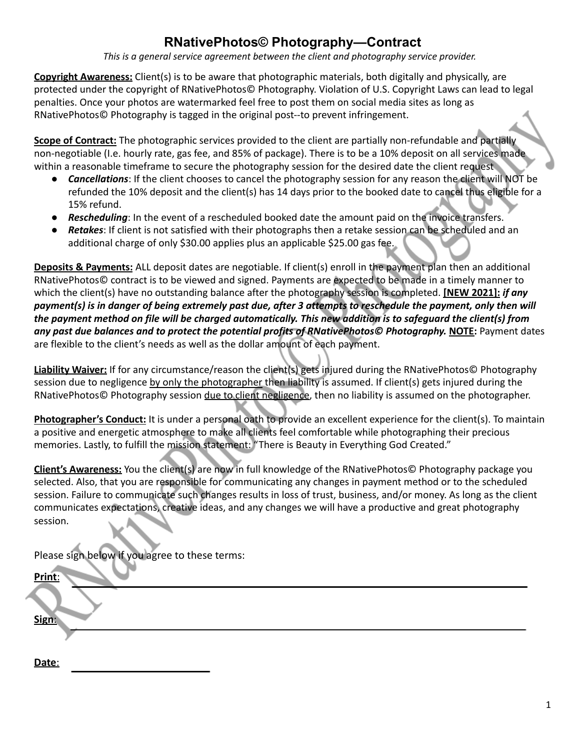## **RNativePhotos© Photography—Contract**

*This is a general service agreement between the client and photography service provider.*

**Copyright Awareness:** Client(s) is to be aware that photographic materials, both digitally and physically, are protected under the copyright of RNativePhotos© Photography. Violation of U.S. Copyright Laws can lead to legal penalties. Once your photos are watermarked feel free to post them on social media sites as long as RNativePhotos© Photography is tagged in the original post--to prevent infringement.

**Scope of Contract:** The photographic services provided to the client are partially non-refundable and partially non-negotiable (I.e. hourly rate, gas fee, and 85% of package). There is to be a 10% deposit on all services made within a reasonable timeframe to secure the photography session for the desired date the client request

- **Cancellations**: If the client chooses to cancel the photography session for any reason the client will NOT be refunded the 10% deposit and the client(s) has 14 days prior to the booked date to cancel thus eligible for a 15% refund.
- *Rescheduling*: In the event of a rescheduled booked date the amount paid on the invoice transfers.
- **Retakes:** If client is not satisfied with their photographs then a retake session can be scheduled and an additional charge of only \$30.00 applies plus an applicable \$25.00 gas fee.

**Deposits & Payments:** ALL deposit dates are negotiable. If client(s) enroll in the payment plan then an additional RNativePhotos© contract is to be viewed and signed. Payments are expected to be made in a timely manner to which the client(s) have no outstanding balance after the photography session is completed. **[NEW 2021]:** *if any* payment(s) is in danger of being extremely past due, after 3 attempts to reschedule the payment, only then will the payment method on file will be charged automatically. This new addition is to safeguard the client(s) from *any past due balances and to protect the potential profits of RNativePhotos© Photography.* **NOTE:** Payment dates are flexible to the client's needs as well as the dollar amount of each payment.

**Liability Waiver:** If for any circumstance/reason the client(s) gets injured during the RNativePhotos© Photography session due to negligence by only the photographer then liability is assumed. If client(s) gets injured during the RNativePhotos© Photography session due to client negligence, then no liability is assumed on the photographer.

**Photographer's Conduct:** It is under a personal oath to provide an excellent experience for the client(s). To maintain a positive and energetic atmosphere to make all clients feel comfortable while photographing their precious memories. Lastly, to fulfill the mission statement: "There is Beauty in Everything God Created."

**Client's Awareness:** You the client(s) are now in full knowledge of the RNativePhotos© Photography package you selected. Also, that you are responsible for communicating any changes in payment method or to the scheduled session. Failure to communicate such changes results in loss of trust, business, and/or money. As long as the client communicates expectations, creative ideas, and any changes we will have a productive and great photography session.

Please sign below if you agree to these terms:

**Date**:

| Print: |  |  |
|--------|--|--|
|        |  |  |
| Sign:  |  |  |
|        |  |  |
|        |  |  |